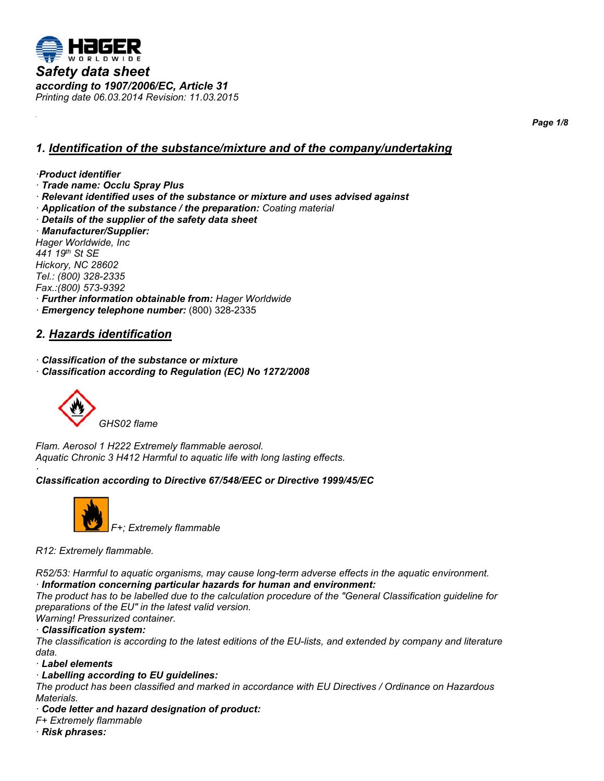

*Page 1/8*

# *1. Identification of the substance/mixture and of the company/undertaking*

#### *·Product identifier*

- *· Trade name: Occlu Spray Plus*
- *· Relevant identified uses of the substance or mixture and uses advised against*
- *· Application of the substance / the preparation: Coating material*
- *· Details of the supplier of the safety data sheet*

*· Manufacturer/Supplier: Hager Worldwide, Inc 441 19th St SE Hickory, NC 28602 Tel.: (800) 328-2335 Fax.:(800) 573-9392 · Further information obtainable from: Hager Worldwide · Emergency telephone number:* (800) 328-2335

### **2. Hazards identification**

*· Classification of the substance or mixture*

*· Classification according to Regulation (EC) No 1272/2008*



*Flam. Aerosol 1 H222 Extremely flammable aerosol. Aquatic Chronic 3 H412 Harmful to aquatic life with long lasting effects.*

#### *· Classification according to Directive 67/548/EEC or Directive 1999/45/EC*



*R12: Extremely flammable.*

*R52/53: Harmful to aquatic organisms, may cause long-term adverse effects in the aquatic environment. · Information concerning particular hazards for human and environment:*

*The product has to be labelled due to the calculation procedure of the "General Classification guideline for preparations of the EU" in the latest valid version.*

*Warning! Pressurized container.*

*· Classification system:*

*The classification is according to the latest editions of the EU-lists, and extended by company and literature data.*

*· Label elements*

*· Labelling according to EU guidelines:*

*The product has been classified and marked in accordance with EU Directives / Ordinance on Hazardous Materials.*

*· Code letter and hazard designation of product:*

*F+ Extremely flammable*

*· Risk phrases:*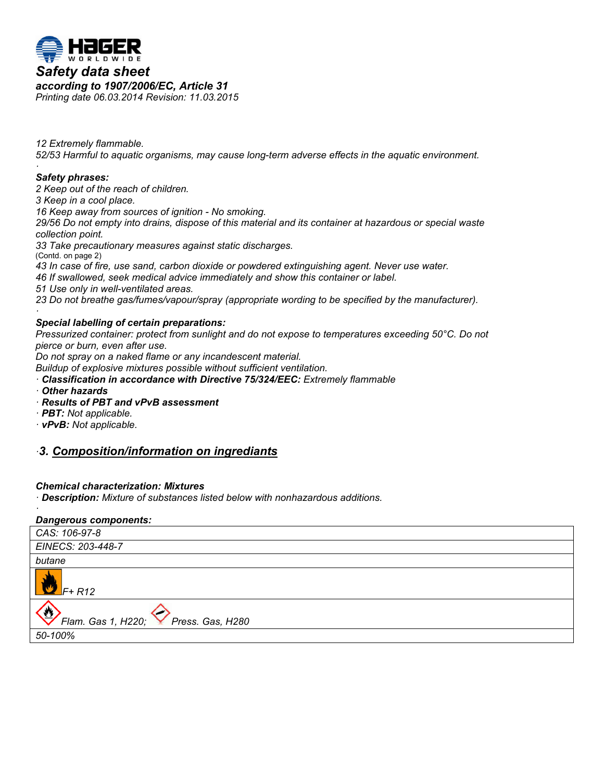

*12 Extremely flammable. 52/53 Harmful to aquatic organisms, may cause long-term adverse effects in the aquatic environment.*

#### *· Safety phrases:*

*2 Keep out of the reach of children.*

*3 Keep in a cool place.*

*16 Keep away from sources of ignition - No smoking.*

*29/56 Do not empty into drains, dispose of this material and its container at hazardous or special waste collection point.*

*33 Take precautionary measures against static discharges.*

(Contd. on page 2) *43 In case of fire, use sand, carbon dioxide or powdered extinguishing agent. Never use water.*

*46 If swallowed, seek medical advice immediately and show this container or label.*

*51 Use only in well-ventilated areas.*

*23 Do not breathe gas/fumes/vapour/spray (appropriate wording to be specified by the manufacturer).*

#### *· Special labelling of certain preparations:*

*Pressurized container: protect from sunlight and do not expose to temperatures exceeding 50°C. Do not pierce or burn, even after use.*

*Do not spray on a naked flame or any incandescent material.*

*Buildup of explosive mixtures possible without sufficient ventilation.*

- *· Classification in accordance with Directive 75/324/EEC: Extremely flammable*
- *· Other hazards*

*·* 

- *· Results of PBT and vPvB assessment*
- *· PBT: Not applicable.*
- *· vPvB: Not applicable.*

# *·3.* Composition/information on ingrediants

### *Chemical characterization: Mixtures*

*· Description: Mixture of substances listed below with nonhazardous additions.*

### *Dangerous components:*

| CAS: 106-97-8                                     |
|---------------------------------------------------|
| EINECS: 203-448-7                                 |
| butane                                            |
| $F+R12$                                           |
| $\bigcirc$<br>Flam. Gas 1, H220; Press. Gas, H280 |
| 50-100%                                           |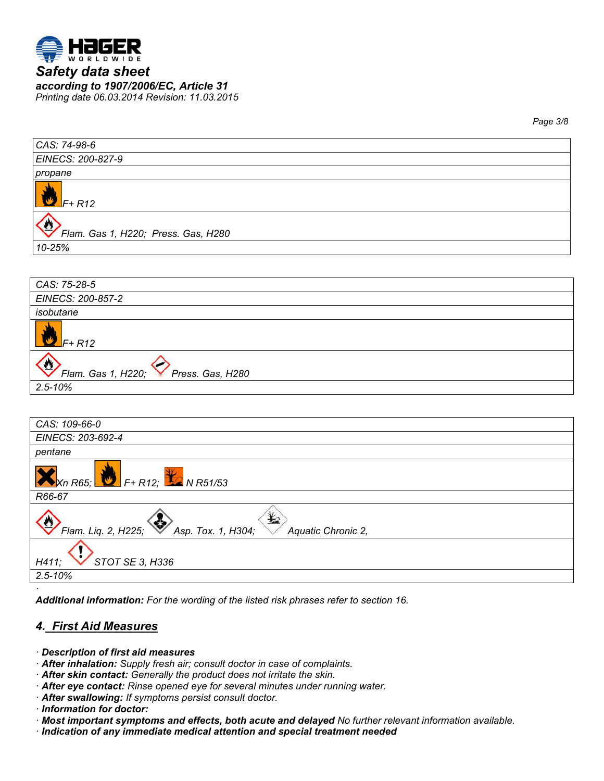

*Page 3/8*

| CAS: 74-98-6                        |
|-------------------------------------|
| EINECS: 200-827-9                   |
| propane                             |
| $F+R12$                             |
| Flam. Gas 1, H220; Press. Gas, H280 |
| 10-25%                              |

| CAS: 75-28-5                                     |
|--------------------------------------------------|
| EINECS: 200-857-2                                |
| isobutane                                        |
| $F+R12$                                          |
| $\bullet$<br>Flam. Gas 1, H220; Press. Gas, H280 |
| $2.5 - 10%$                                      |



*Additional information: For the wording of the listed risk phrases refer to section 16.*

# **4. First Aid Measures**

- *· Description of first aid measures*
- *· After inhalation: Supply fresh air; consult doctor in case of complaints.*
- *· After skin contact: Generally the product does not irritate the skin.*
- *· After eye contact: Rinse opened eye for several minutes under running water.*
- *· After swallowing: If symptoms persist consult doctor.*
- *· Information for doctor:*
- *· Most important symptoms and effects, both acute and delayed No further relevant information available.*
- *· Indication of any immediate medical attention and special treatment needed*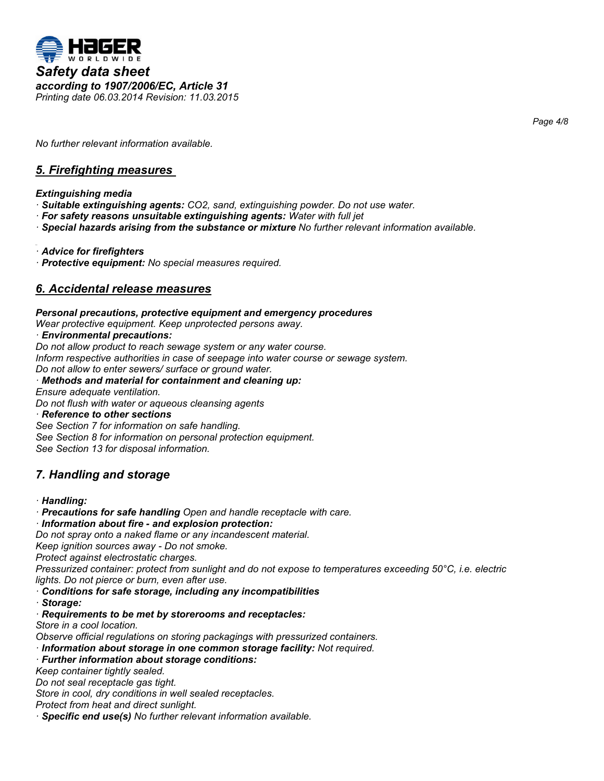

*Page 4/8*

*No further relevant information available.*

# **5. Firefighting measures**

*Extinguishing media*

- *· Suitable extinguishing agents: CO2, sand, extinguishing powder. Do not use water.*
- *· For safety reasons unsuitable extinguishing agents: Water with full jet*
- *· Special hazards arising from the substance or mixture No further relevant information available.*

*· Advice for firefighters*

*· Protective equipment: No special measures required.*

# **6. Accidental release measures**

*Personal precautions, protective equipment and emergency procedures Wear protective equipment. Keep unprotected persons away. · Environmental precautions: Do not allow product to reach sewage system or any water course. Inform respective authorities in case of seepage into water course or sewage system. Do not allow to enter sewers/ surface or ground water. · Methods and material for containment and cleaning up: Ensure adequate ventilation.*

*Do not flush with water or aqueous cleansing agents*

*· Reference to other sections*

*See Section 7 for information on safe handling. See Section 8 for information on personal protection equipment. See Section 13 for disposal information.*

# *7. Handling and storage*

*· Handling:*

*· Precautions for safe handling Open and handle receptacle with care.*

*· Information about fire - and explosion protection:*

*Do not spray onto a naked flame or any incandescent material.*

*Keep ignition sources away - Do not smoke.*

*Protect against electrostatic charges.*

*Pressurized container: protect from sunlight and do not expose to temperatures exceeding 50°C, i.e. electric lights. Do not pierce or burn, even after use.*

*· Conditions for safe storage, including any incompatibilities*

*· Storage:*

*· Requirements to be met by storerooms and receptacles:*

*Store in a cool location.*

*Observe official regulations on storing packagings with pressurized containers.*

*· Information about storage in one common storage facility: Not required.*

*· Further information about storage conditions:*

*Keep container tightly sealed.*

*Do not seal receptacle gas tight.*

*Store in cool, dry conditions in well sealed receptacles.*

*Protect from heat and direct sunlight.*

*· Specific end use(s) No further relevant information available.*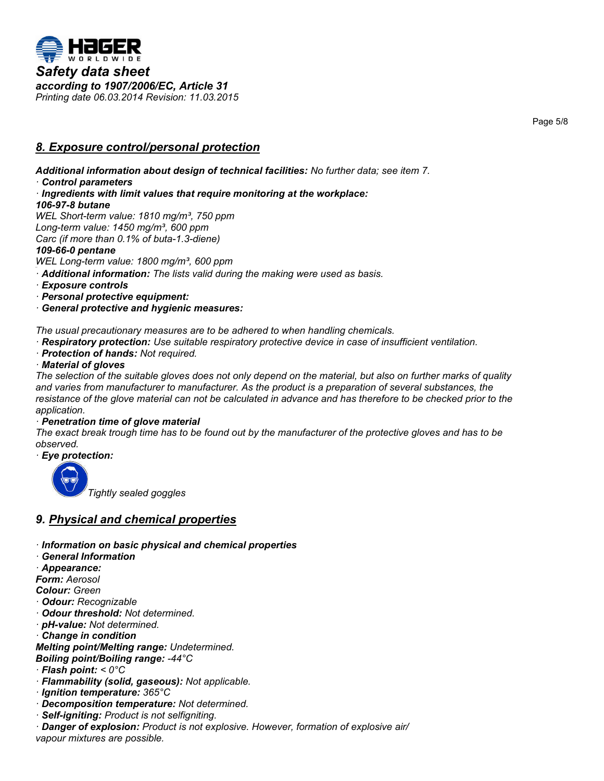

**8. Exposure control/personal protection** 

*Additional information about design of technical facilities: No further data; see item 7. · Control parameters · Ingredients with limit values that require monitoring at the workplace: 106-97-8 butane WEL Short-term value: 1810 mg/m³, 750 ppm Long-term value: 1450 mg/m³, 600 ppm Carc (if more than 0.1% of buta-1.3-diene) 109-66-0 pentane WEL Long -term value: 1800 mg/m³, 600 ppm · Additional information: The lists valid during the making were used as basis.*

*· Exposure controls*

*· Personal protective equipment:*

*· General protective and hygienic measures:*

*The usual precautionary measures are to be adhered to when handling chemicals.*

*· Respiratory protection: Use suitable respiratory protective device in case of insufficient ventilation.*

*· Protection of hands: Not required.*

### *· Material of gloves*

*The selection of the suitable gloves does not only depend on the material, but also on further marks of quality and varies from manufacturer to manufacturer. As the product is a preparation of several substances, the resistance of the glove material can not be calculated in advance and has therefore to be checked prior to the application.*

### *· Penetration time of glove material*

*The exact break trough time has to be found out by the manufacturer of the protective gloves and has to be observed.*

*· Eye protection:*



 *Tightly sealed goggles*

# *9. Physical and chemical properties*

*· Information on basic physical and chemical properties*

*· General Information*

*· Appearance:*

*Form: Aerosol*

*Colour: Green*

*· Odour: Recognizable*

- *· Odour threshold: Not determined.*
- *· pH-value: Not determined.*

*· Change in condition*

*Melting point/Melting range: Undetermined. Boiling point/Boiling range: -44°C*

*· Flash point: < 0°C*

*· Flammability (solid, gaseous): Not applicable.*

- *· Ignition temperature: 365°C*
- *· Decomposition temperature: Not determined.*
- *· Self-igniting: Product is not selfigniting.*

*· Danger of explosion: Product is not explosive. However, formation of explosive air/ vapour mixtures are possible.*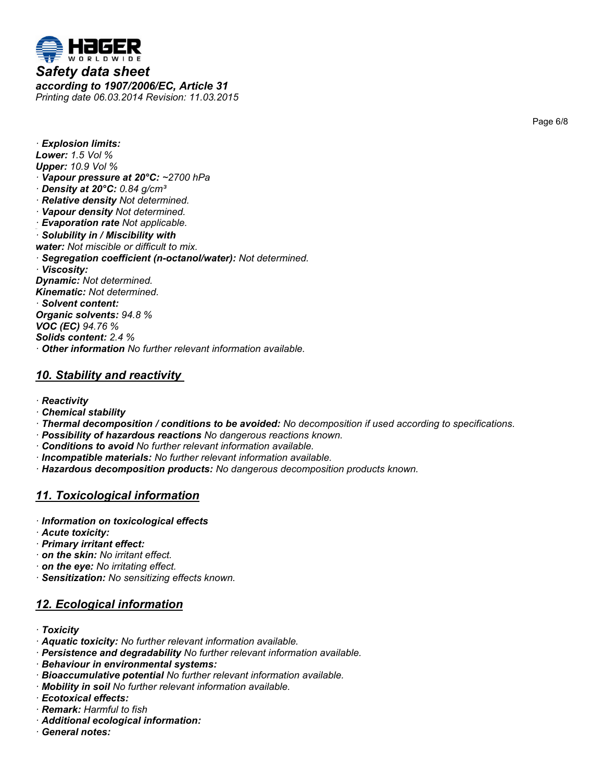

*according to 1907/2006/EC, Article 31 Printing date 06.03.2014 Revision: 11.03.2015*

*· Explosion limits: Lower: 1.5 Vol % Upper: 10.9 Vol % · Vapour pressure at 20°C: ~2700 hPa · Density at 20°C: 0.84 g/cm³ · Relative density Not determined. · Vapour density Not determined. · Evaporation rate Not applicable. · Solubility in / Miscibility with water: Not miscible or difficult to mix. · Segregation coefficient (n-octanol/water): Not determined. · Viscosity: Dynamic: Not determined. Kinematic: Not determined. · Solvent content: Organic solvents: 94.8 %*

*VOC (EC) 94.76 % Solids content: 2.4 % · Other information No further relevant information available.*

# **10. Stability and reactivity**

- *· Reactivity*
- *· Chemical stability*
- *· Thermal decomposition / conditions to be avoided: No decomposition if used according to specifications.*
- *· Possibility of hazardous reactions No dangerous reactions known.*
- *· Conditions to avoid No further relevant information available.*
- *· Incompatible materials: No further relevant information available.*
- *· Hazardous decomposition products: No dangerous decomposition products known.*

# **11. Toxicological information**

- *· Information on toxicological effects*
- *· Acute toxicity:*
- *· Primary irritant effect:*
- *· on the skin: No irritant effect.*
- *· on the eye: No irritating effect.*
- *· Sensitization: No sensitizing effects known.*

# **12. Ecological information**

- *· Toxicity*
- *· Aquatic toxicity: No further relevant information available.*
- *· Persistence and degradability No further relevant information available.*
- *· Behaviour in environmental systems:*
- *· Bioaccumulative potential No further relevant information available.*
- *· Mobility in soil No further relevant information available.*
- *· Ecotoxical effects:*
- *· Remark: Harmful to fish*
- *· Additional ecological information:*
- *· General notes:*

Page 6/8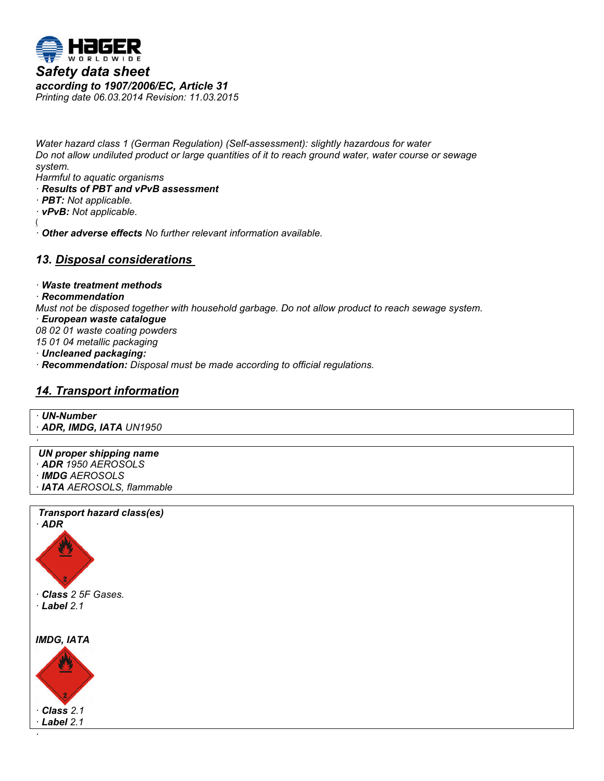

*Water hazard class 1 (German Regulation) (Self-assessment): slightly hazardous for water Do not allow undiluted product or large quantities of it to reach ground water, water course or sewage system.*

*Harmful to aquatic organisms*

- *· Results of PBT and vPvB assessment*
- *· PBT: Not applicable.*

*· vPvB: Not applicable.*

(

34.0 *· Other adverse effects No further relevant information available.*

# **13. Disposal considerations**

*· Waste treatment methods*

### *· Recommendation*

*Must not be disposed together with household garbage. Do not allow product to reach sewage system.*

- *· European waste catalogue*
- *08 02 01 waste coating powders*
- *15 01 04 metallic packaging*
- *· Uncleaned packaging:*
- *· Recommendation: Disposal must be made according to official regulations.*

# *14. Transport information*



*· ADR, IMDG, IATA UN1950 ·*

*UN proper shipping name · ADR 1950 AEROSOLS · IMDG AEROSOLS · IATA AEROSOLS, flammable*